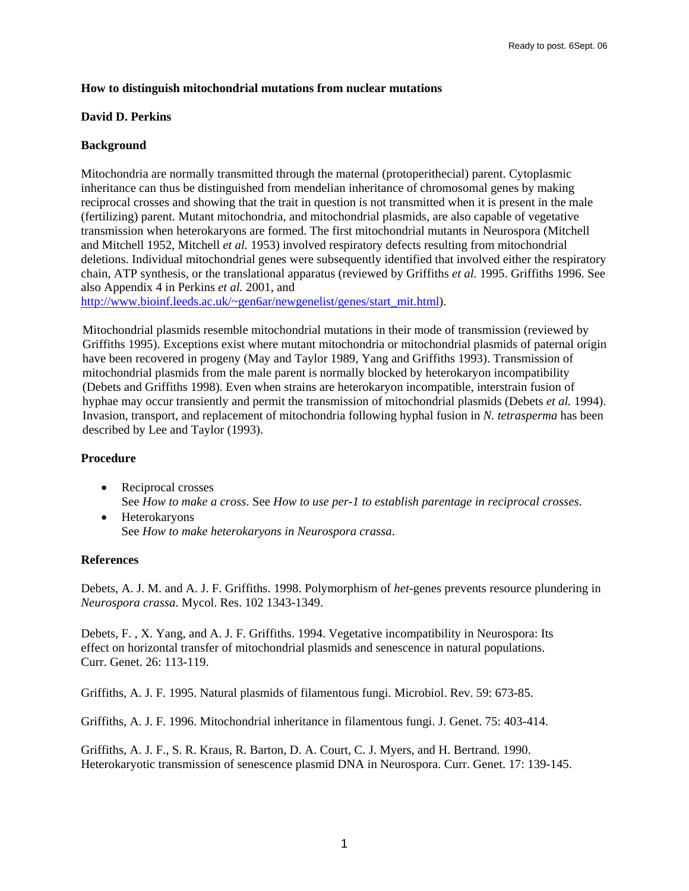### **How to distinguish mitochondrial mutations from nuclear mutations**

### **David D. Perkins**

# **Background**

Mitochondria are normally transmitted through the maternal (protoperithecial) parent. Cytoplasmic inheritance can thus be distinguished from mendelian inheritance of chromosomal genes by making reciprocal crosses and showing that the trait in question is not transmitted when it is present in the male (fertilizing) parent. Mutant mitochondria, and mitochondrial plasmids, are also capable of vegetative transmission when heterokaryons are formed. The first mitochondrial mutants in Neurospora (Mitchell and Mitchell 1952, Mitchell *et al.* 1953) involved respiratory defects resulting from mitochondrial deletions. Individual mitochondrial genes were subsequently identified that involved either the respiratory chain, ATP synthesis, or the translational apparatus (reviewed by Griffiths *et al.* 1995. Griffiths 1996. See also Appendix 4 in Perkins *et al.* 2001, and

[http://www.bioinf.leeds.ac.uk/~gen6ar/newgenelist/genes/start\\_mit.html\)](http://www.bioinf.leeds.ac.uk/~gen6ar/newgenelist/genes/start_mit.html).

Mitochondrial plasmids resemble mitochondrial mutations in their mode of transmission (reviewed by Griffiths 1995). Exceptions exist where mutant mitochondria or mitochondrial plasmids of paternal origin have been recovered in progeny (May and Taylor 1989, Yang and Griffiths 1993). Transmission of mitochondrial plasmids from the male parent is normally blocked by heterokaryon incompatibility (Debets and Griffiths 1998). Even when strains are heterokaryon incompatible, interstrain fusion of hyphae may occur transiently and permit the transmission of mitochondrial plasmids (Debets *et al.* 1994). Invasion, transport, and replacement of mitochondria following hyphal fusion in *N. tetrasperma* has been described by Lee and Taylor (1993).

# **Procedure**

- Reciprocal crosses See *How to make a cross*. See *How to use per-1 to establish parentage in reciprocal crosses*.
- Heterokaryons See *How to make heterokaryons in Neurospora crassa*.

#### **References**

Debets, A. J. M. and A. J. F. Griffiths. 1998. Polymorphism of *het*-genes prevents resource plundering in *Neurospora crassa*. Mycol. Res. 102 1343-1349.

Debets, F. , X. Yang, and A. J. F. Griffiths. 1994. Vegetative incompatibility in Neurospora: Its effect on horizontal transfer of mitochondrial plasmids and senescence in natural populations. Curr. Genet. 26: 113-119.

Griffiths, A. J. F. 1995. Natural plasmids of filamentous fungi. Microbiol. Rev. 59: 673-85.

Griffiths, A. J. F. 1996. Mitochondrial inheritance in filamentous fungi. J. Genet. 75: 403-414.

Griffiths, A. J. F., S. R. Kraus, R. Barton, D. A. Court, C. J. Myers, and H. Bertrand. 1990. Heterokaryotic transmission of senescence plasmid DNA in Neurospora. Curr. Genet. 17: 139-145.